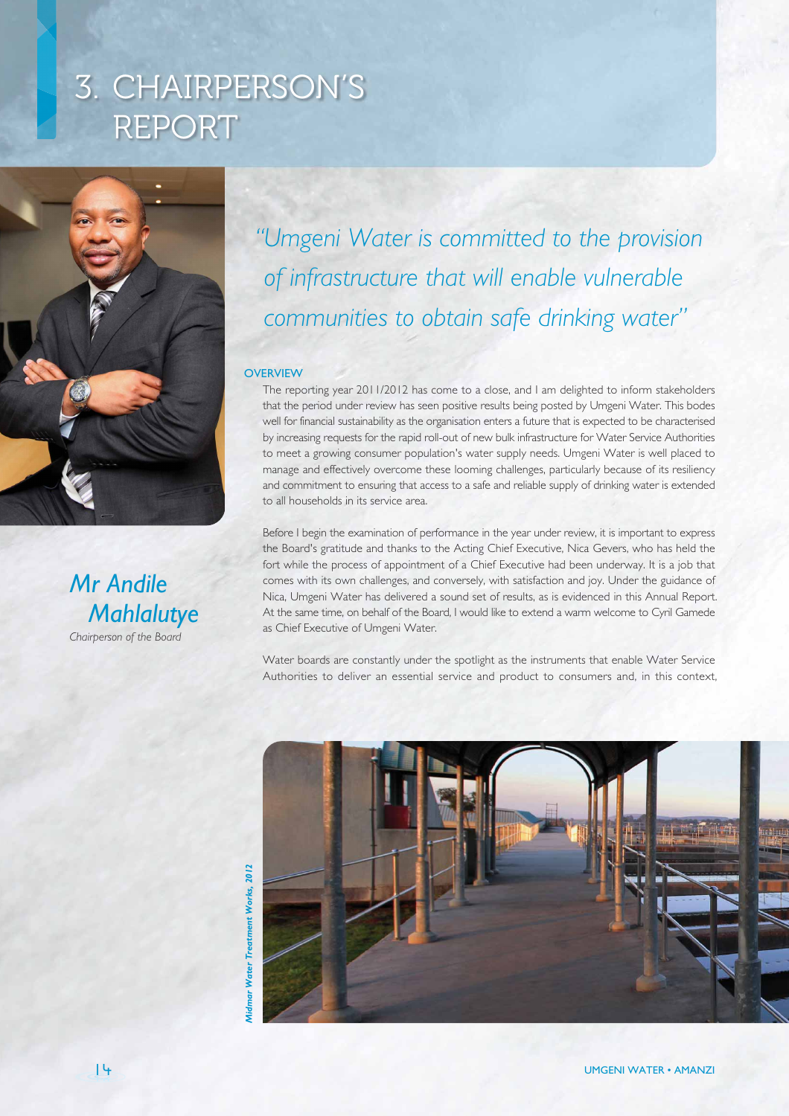# 3. CHAIRPERSON'S REPORT



*Mr Andile Mahlalutye Chairperson of the Board*

## *"Umgeni Water is committed to the provision of infrastructure that will enable vulnerable communities to obtain safe drinking water"*

#### **OVERVIEW**

The reporting year 2011/2012 has come to a close, and I am delighted to inform stakeholders that the period under review has seen positive results being posted by Umgeni Water. This bodes well for financial sustainability as the organisation enters a future that is expected to be characterised by increasing requests for the rapid roll-out of new bulk infrastructure for Water Service Authorities to meet a growing consumer population's water supply needs. Umgeni Water is well placed to manage and effectively overcome these looming challenges, particularly because of its resiliency and commitment to ensuring that access to a safe and reliable supply of drinking water is extended to all households in its service area.

Before I begin the examination of performance in the year under review, it is important to express the Board's gratitude and thanks to the Acting Chief Executive, Nica Gevers, who has held the fort while the process of appointment of a Chief Executive had been underway. It is a job that comes with its own challenges, and conversely, with satisfaction and joy. Under the guidance of Nica, Umgeni Water has delivered a sound set of results, as is evidenced in this Annual Report. At the same time, on behalf of the Board, I would like to extend a warm welcome to Cyril Gamede as Chief Executive of Umgeni Water.

Water boards are constantly under the spotlight as the instruments that enable Water Service Authorities to deliver an essential service and product to consumers and, in this context,



Treatment Works, 2012 *Midmar Water Treatment Works, 2012* ar Water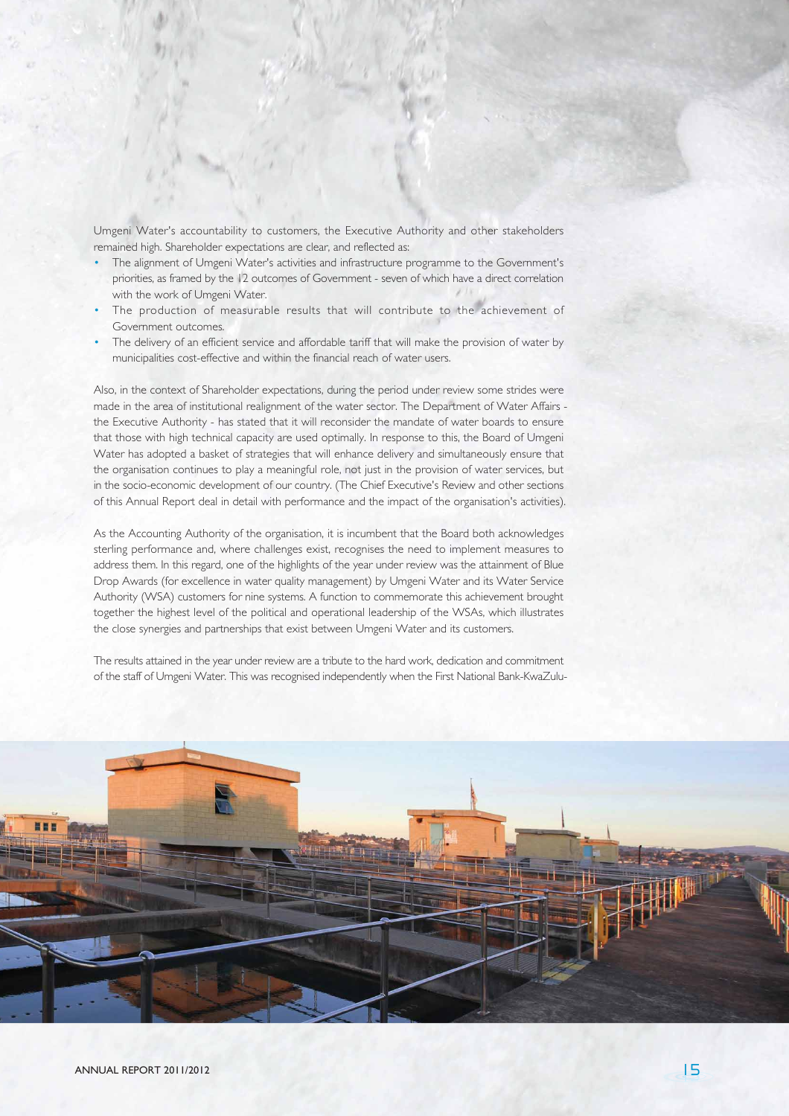Umgeni Water's accountability to customers, the Executive Authority and other stakeholders remained high. Shareholder expectations are clear, and reflected as:

- The alignment of Umgeni Water's activities and infrastructure programme to the Government's priorities, as framed by the 12 outcomes of Government - seven of which have a direct correlation with the work of Umgeni Water.
- The production of measurable results that will contribute to the achievement of Government outcomes.
- The delivery of an efficient service and affordable tariff that will make the provision of water by municipalities cost-effective and within the financial reach of water users.

Also, in the context of Shareholder expectations, during the period under review some strides were made in the area of institutional realignment of the water sector. The Department of Water Affairs the Executive Authority - has stated that it will reconsider the mandate of water boards to ensure that those with high technical capacity are used optimally. In response to this, the Board of Umgeni Water has adopted a basket of strategies that will enhance delivery and simultaneously ensure that the organisation continues to play a meaningful role, not just in the provision of water services, but in the socio-economic development of our country. (The Chief Executive's Review and other sections of this Annual Report deal in detail with performance and the impact of the organisation's activities).

As the Accounting Authority of the organisation, it is incumbent that the Board both acknowledges sterling performance and, where challenges exist, recognises the need to implement measures to address them. In this regard, one of the highlights of the year under review was the attainment of Blue Drop Awards (for excellence in water quality management) by Umgeni Water and its Water Service Authority (WSA) customers for nine systems. A function to commemorate this achievement brought together the highest level of the political and operational leadership of the WSAs, which illustrates the close synergies and partnerships that exist between Umgeni Water and its customers.

The results attained in the year under review are a tribute to the hard work, dedication and commitment of the staff of Umgeni Water. This was recognised independently when the First National Bank-KwaZulu-

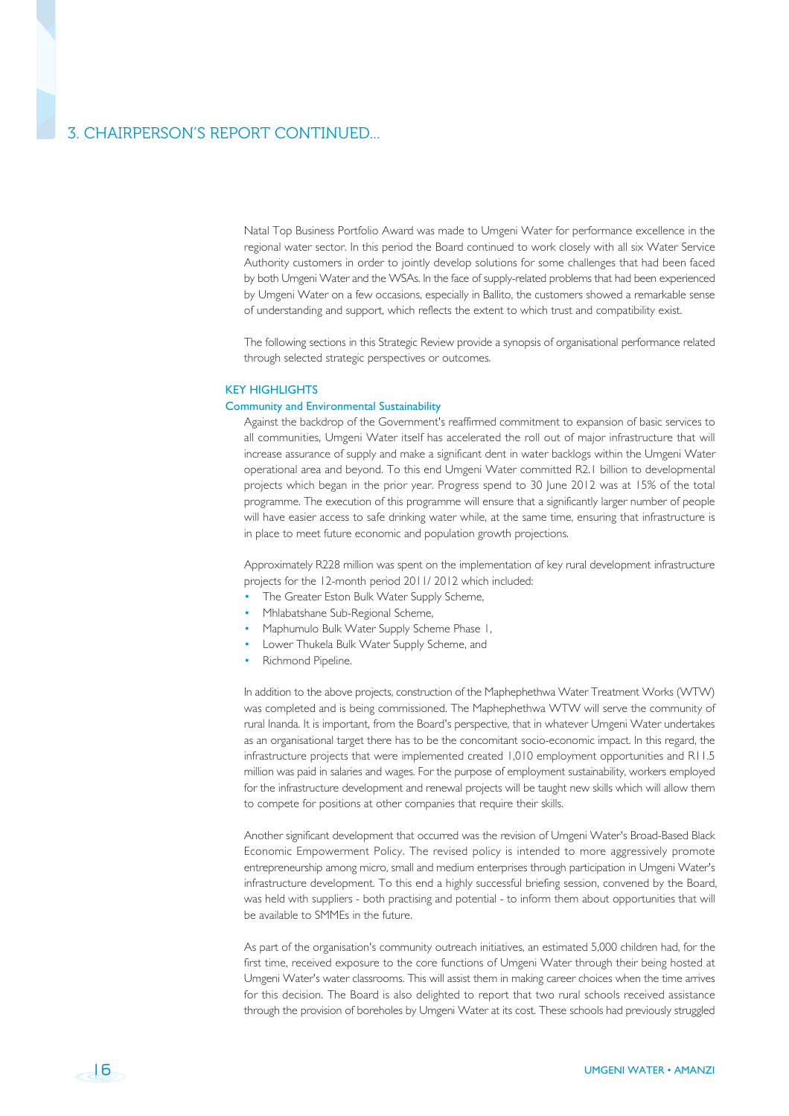### 3. CHAIRPERSON'S REPORT CONTINUED...

Natal Top Business Portfolio Award was made to Umgeni Water for performance excellence in the regional water sector. In this period the Board continued to work closely with all six Water Service Authority customers in order to jointly develop solutions for some challenges that had been faced by both Umgeni Water and the WSAs. In the face of supply-related problems that had been experienced by Umgeni Water on a few occasions, especially in Ballito, the customers showed a remarkable sense of understanding and support, which reflects the extent to which trust and compatibility exist.

The following sections in this Strategic Review provide a synopsis of organisational performance related through selected strategic perspectives or outcomes.

#### KEY HIGHLIGHTS

#### Community and Environmental Sustainability

Against the backdrop of the Government's reaffirmed commitment to expansion of basic services to all communities, Umgeni Water itself has accelerated the roll out of major infrastructure that will increase assurance of supply and make a significant dent in water backlogs within the Umgeni Water operational area and beyond. To this end Umgeni Water committed R2.1 billion to developmental projects which began in the prior year. Progress spend to 30 June 2012 was at 15% of the total programme. The execution of this programme will ensure that a significantly larger number of people will have easier access to safe drinking water while, at the same time, ensuring that infrastructure is in place to meet future economic and population growth projections.

Approximately R228 million was spent on the implementation of key rural development infrastructure projects for the 12-month period 2011/ 2012 which included:

- The Greater Eston Bulk Water Supply Scheme,
- Mhlabatshane Sub-Regional Scheme,
- Maphumulo Bulk Water Supply Scheme Phase 1,
- Lower Thukela Bulk Water Supply Scheme, and
- Richmond Pipeline.

In addition to the above projects, construction of the Maphephethwa Water Treatment Works (WTW) was completed and is being commissioned. The Maphephethwa WTW will serve the community of rural Inanda. It is important, from the Board's perspective, that in whatever Umgeni Water undertakes as an organisational target there has to be the concomitant socio-economic impact. In this regard, the infrastructure projects that were implemented created 1,010 employment opportunities and R11.5 million was paid in salaries and wages. For the purpose of employment sustainability, workers employed for the infrastructure development and renewal projects will be taught new skills which will allow them to compete for positions at other companies that require their skills.

Another significant development that occurred was the revision of Umgeni Water's Broad-Based Black Economic Empowerment Policy. The revised policy is intended to more aggressively promote entrepreneurship among micro, small and medium enterprises through participation in Umgeni Water's infrastructure development. To this end a highly successful briefing session, convened by the Board, was held with suppliers - both practising and potential - to inform them about opportunities that will be available to SMMEs in the future.

As part of the organisation's community outreach initiatives, an estimated 5,000 children had, for the first time, received exposure to the core functions of Umgeni Water through their being hosted at Umgeni Water's water classrooms. This will assist them in making career choices when the time arrives for this decision. The Board is also delighted to report that two rural schools received assistance through the provision of boreholes by Umgeni Water at its cost. These schools had previously struggled

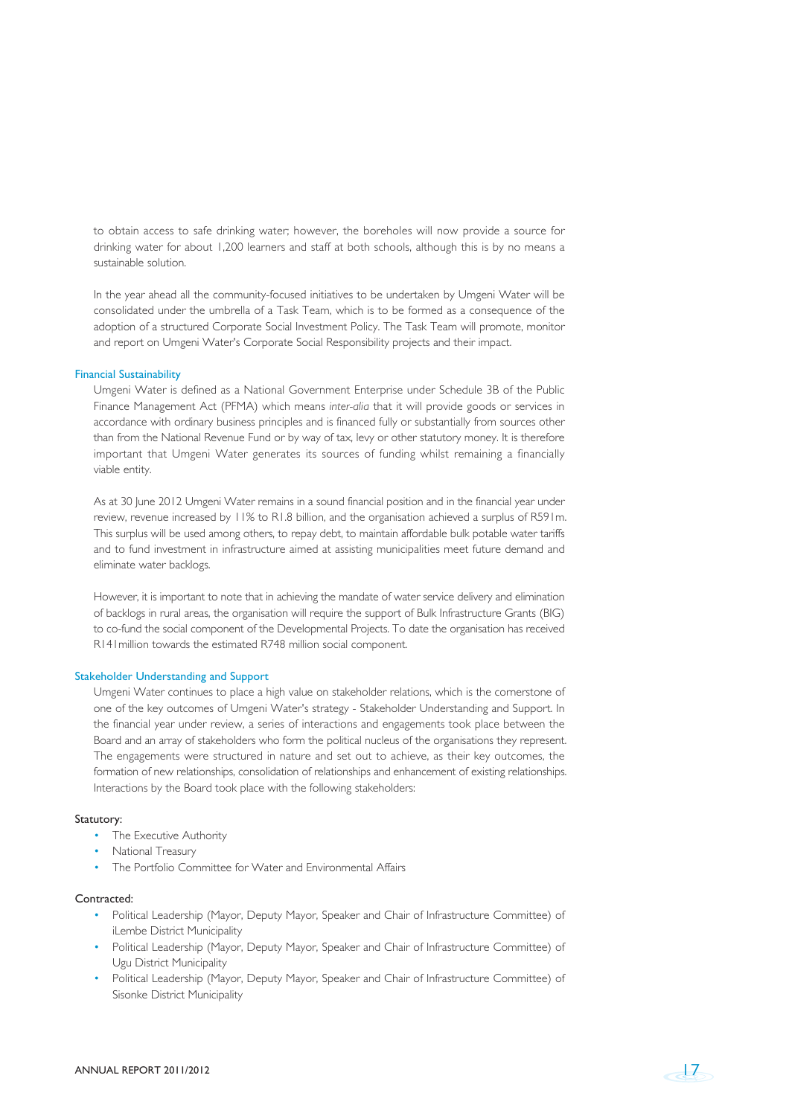to obtain access to safe drinking water; however, the boreholes will now provide a source for drinking water for about 1,200 learners and staff at both schools, although this is by no means a sustainable solution.

In the year ahead all the community-focused initiatives to be undertaken by Umgeni Water will be consolidated under the umbrella of a Task Team, which is to be formed as a consequence of the adoption of a structured Corporate Social Investment Policy. The Task Team will promote, monitor and report on Umgeni Water's Corporate Social Responsibility projects and their impact.

#### Financial Sustainability

Umgeni Water is defined as a National Government Enterprise under Schedule 3B of the Public Finance Management Act (PFMA) which means *inter-alia* that it will provide goods or services in accordance with ordinary business principles and is financed fully or substantially from sources other than from the National Revenue Fund or by way of tax, levy or other statutory money. It is therefore important that Umgeni Water generates its sources of funding whilst remaining a financially viable entity.

As at 30 June 2012 Umgeni Water remains in a sound financial position and in the financial year under review, revenue increased by 11% to R1.8 billion, and the organisation achieved a surplus of R591m. This surplus will be used among others, to repay debt, to maintain affordable bulk potable water tariffs and to fund investment in infrastructure aimed at assisting municipalities meet future demand and eliminate water backlogs.

However, it is important to note that in achieving the mandate of water service delivery and elimination of backlogs in rural areas, the organisation will require the support of Bulk Infrastructure Grants (BIG) to co-fund the social component of the Developmental Projects. To date the organisation has received R141million towards the estimated R748 million social component.

#### Stakeholder Understanding and Support

Umgeni Water continues to place a high value on stakeholder relations, which is the cornerstone of one of the key outcomes of Umgeni Water's strategy - Stakeholder Understanding and Support. In the financial year under review, a series of interactions and engagements took place between the Board and an array of stakeholders who form the political nucleus of the organisations they represent. The engagements were structured in nature and set out to achieve, as their key outcomes, the formation of new relationships, consolidation of relationships and enhancement of existing relationships. Interactions by the Board took place with the following stakeholders:

#### Statutory:

- The Executive Authority
- National Treasury
- The Portfolio Committee for Water and Environmental Affairs

#### Contracted:

- Political Leadership (Mayor, Deputy Mayor, Speaker and Chair of Infrastructure Committee) of iLembe District Municipality
- Political Leadership (Mayor, Deputy Mayor, Speaker and Chair of Infrastructure Committee) of Ugu District Municipality
- Political Leadership (Mayor, Deputy Mayor, Speaker and Chair of Infrastructure Committee) of Sisonke District Municipality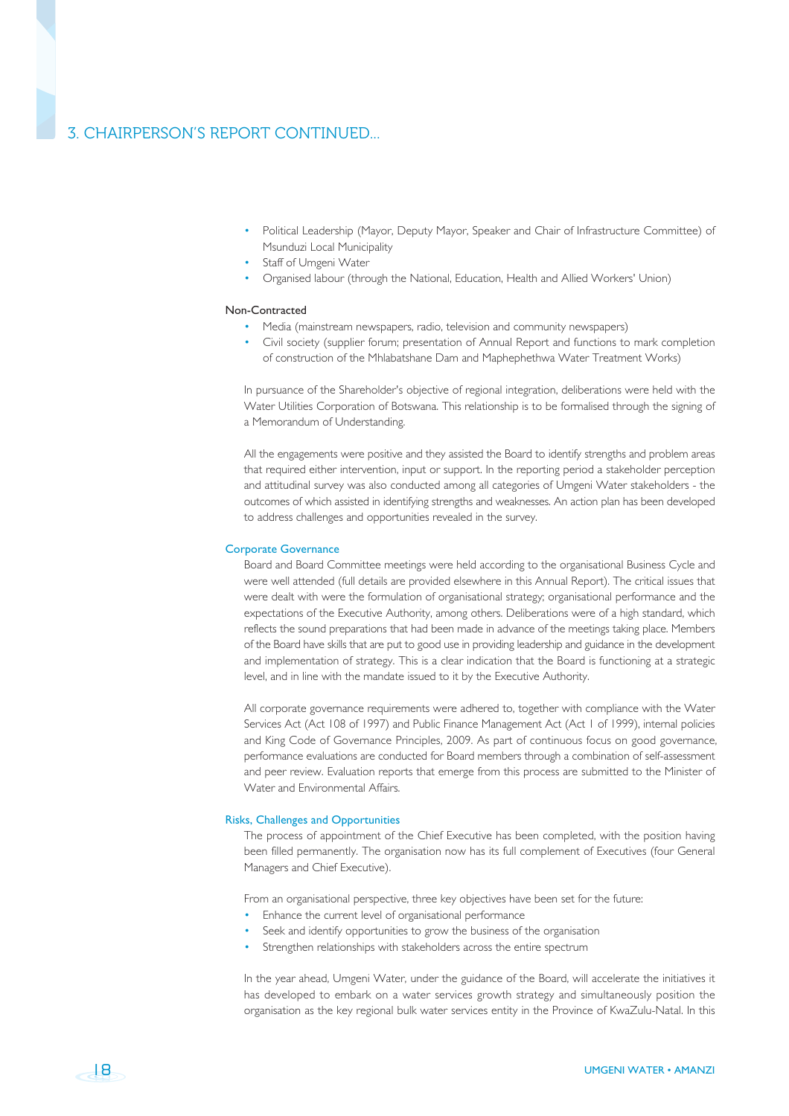## 3. CHAIRPERSON'S REPORT CONTINUED...

- Political Leadership (Mayor, Deputy Mayor, Speaker and Chair of Infrastructure Committee) of Msunduzi Local Municipality
- Staff of Umgeni Water
- Organised labour (through the National, Education, Health and Allied Workers' Union)

#### Non-Contracted

- Media (mainstream newspapers, radio, television and community newspapers)
- Civil society (supplier forum; presentation of Annual Report and functions to mark completion of construction of the Mhlabatshane Dam and Maphephethwa Water Treatment Works)

In pursuance of the Shareholder's objective of regional integration, deliberations were held with the Water Utilities Corporation of Botswana. This relationship is to be formalised through the signing of a Memorandum of Understanding.

All the engagements were positive and they assisted the Board to identify strengths and problem areas that required either intervention, input or support. In the reporting period a stakeholder perception and attitudinal survey was also conducted among all categories of Umgeni Water stakeholders - the outcomes of which assisted in identifying strengths and weaknesses. An action plan has been developed to address challenges and opportunities revealed in the survey.

#### Corporate Governance

Board and Board Committee meetings were held according to the organisational Business Cycle and were well attended (full details are provided elsewhere in this Annual Report). The critical issues that were dealt with were the formulation of organisational strategy; organisational performance and the expectations of the Executive Authority, among others. Deliberations were of a high standard, which reflects the sound preparations that had been made in advance of the meetings taking place. Members of the Board have skills that are put to good use in providing leadership and guidance in the development and implementation of strategy. This is a clear indication that the Board is functioning at a strategic level, and in line with the mandate issued to it by the Executive Authority.

All corporate governance requirements were adhered to, together with compliance with the Water Services Act (Act 108 of 1997) and Public Finance Management Act (Act 1 of 1999), internal policies and King Code of Governance Principles, 2009. As part of continuous focus on good governance, performance evaluations are conducted for Board members through a combination of self-assessment and peer review. Evaluation reports that emerge from this process are submitted to the Minister of Water and Environmental Affairs.

#### Risks, Challenges and Opportunities

The process of appointment of the Chief Executive has been completed, with the position having been filled permanently. The organisation now has its full complement of Executives (four General Managers and Chief Executive).

From an organisational perspective, three key objectives have been set for the future:

- Enhance the current level of organisational performance
- Seek and identify opportunities to grow the business of the organisation
- Strengthen relationships with stakeholders across the entire spectrum

In the year ahead, Umgeni Water, under the guidance of the Board, will accelerate the initiatives it has developed to embark on a water services growth strategy and simultaneously position the organisation as the key regional bulk water services entity in the Province of KwaZulu-Natal. In this